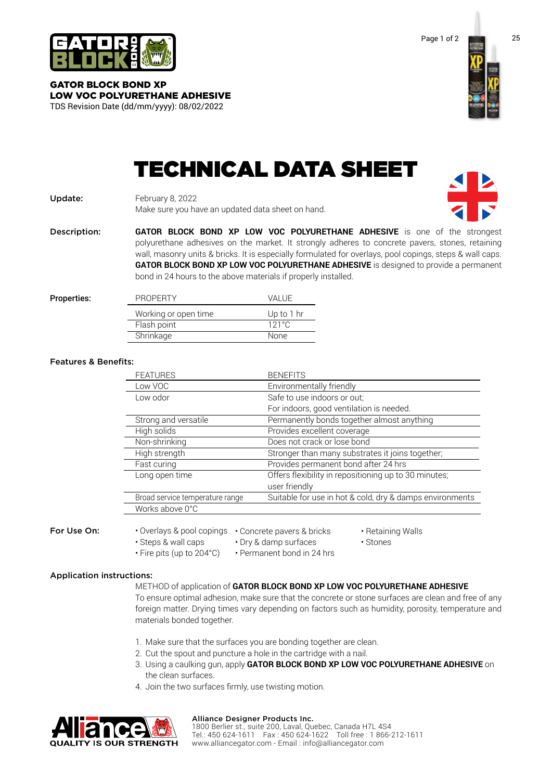

GATOR BLOCK BOND XP LOW VOC POLYURETHANE ADHESIVE TDS Revision Date (dd/mm/yyyy): 08/02/2022



# TECHNICAL DATA SHEET

## Update: February 8, 2022 Make sure you have an updated data sheet on hand.

Description: **GATOR BLOCK BOND XP LOW VOC POLYURETHANE ADHESIVE** is one of the strongest polyurethane adhesives on the market. It strongly adheres to concrete pavers, stones, retaining wall, masonry units & bricks. It is especially formulated for overlays, pool copings, steps & wall caps. **GATOR BLOCK BOND XP LOW VOC POLYURETHANE ADHESIVE** is designed to provide a permanent bond in 24 hours to the above materials if properly installed.

| Properties: | <b>PROPERTY</b>      | VALUE           |
|-------------|----------------------|-----------------|
|             | Working or open time | Up to $1$ hr    |
|             | Flash point          | $121^{\circ}$ C |
|             | Shrinkage            | <b>None</b>     |

### Features & Benefits:

| <b>FEATURES</b>                                      | <b>BENEFITS</b>                                          |  |
|------------------------------------------------------|----------------------------------------------------------|--|
| Low VOC                                              | Environmentally friendly                                 |  |
| Low odor                                             | Safe to use indoors or out;                              |  |
|                                                      | For indoors, good ventilation is needed.                 |  |
| Strong and versatile                                 | Permanently bonds together almost anything               |  |
| High solids                                          | Provides excellent coverage                              |  |
| Non-shrinking                                        | Does not crack or lose bond                              |  |
| High strength                                        | Stronger than many substrates it joins together;         |  |
| Fast curing                                          | Provides permanent bond after 24 hrs                     |  |
| Long open time                                       | Offers flexibility in repositioning up to 30 minutes;    |  |
|                                                      | user friendly                                            |  |
| Broad service temperature range                      | Suitable for use in hot & cold, dry & damps environments |  |
| Works above 0°C                                      |                                                          |  |
| • Overlays & pool copings • Concrete pavers & bricks | • Retaining Walls                                        |  |

# For Use On:

- Steps & wall caps • Dry & damp surfaces
- Fire pits (up to 204°C)
- Permanent bond in 24 hrs

### Application instructions:

METHOD of application of **GATOR BLOCK BOND XP LOW VOC POLYURETHANE ADHESIVE** To ensure optimal adhesion, make sure that the concrete or stone surfaces are clean and free of any foreign matter. Drying times vary depending on factors such as humidity, porosity, temperature and materials bonded together.

• Stones

- 1. Make sure that the surfaces you are bonding together are clean.
- 2. Cut the spout and puncture a hole in the cartridge with a nail.
- 3. Using a caulking gun, apply **GATOR BLOCK BOND XP LOW VOC POLYURETHANE ADHESIVE** on the clean surfaces.
- 4. Join the two surfaces firmly, use twisting motion.



#### Alliance Designer Products Inc.

1800 Berlier st., suite 200, Laval, Quebec, Canada H7L 4S4 Tel.: 450 624-1611 Fax : 450 624-1622 Toll free : 1 866-212-1611 [www.alliancegator.com - E](https://alliancegator.com/europe/)mail : [info@alliancegator.com](mailto:info@alliancegator.com)